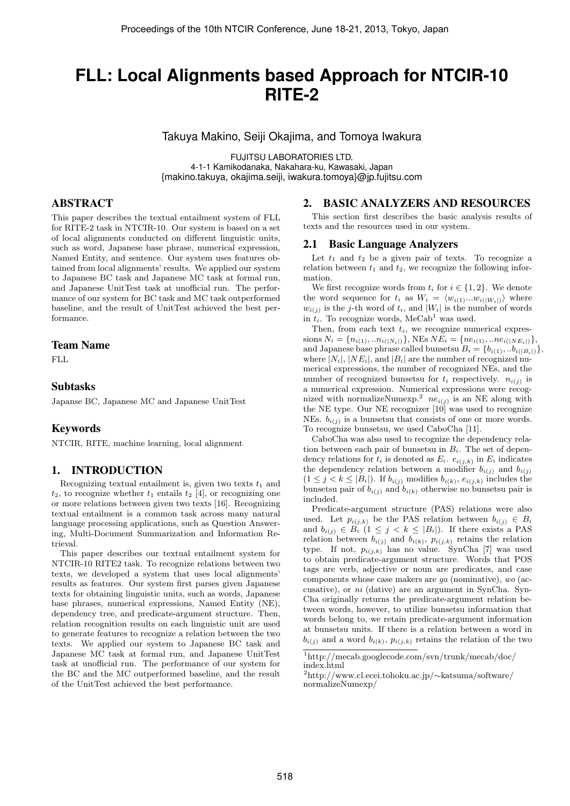# **FLL: Local Alignments based Approach for NTCIR-10 RITE-2**

Takuya Makino, Seiji Okajima, and Tomoya Iwakura

FUJITSU LABORATORIES LTD. 4-1-1 Kamikodanaka, Nakahara-ku, Kawasaki, Japan {makino.takuya, okajima.seiji, iwakura.tomoya}@jp.fujitsu.com

# ABSTRACT

This paper describes the textual entailment system of FLL for RITE-2 task in NTCIR-10. Our system is based on a set of local alignments conducted on different linguistic units, such as word, Japanese base phrase, numerical expression, Named Entity, and sentence. Our system uses features obtained from local alignments' results. We applied our system to Japanese BC task and Japanese MC task at formal run, and Japanese UnitTest task at unofficial run. The performance of our system for BC task and MC task outperformed baseline, and the result of UnitTest achieved the best performance.

### Team Name

FLL.

# Subtasks

Japanse BC, Japanese MC and Japanese UnitTest

# Keywords

NTCIR, RITE, machine learning, local alignment

# 1. INTRODUCTION

Recognizing textual entailment is, given two texts  $t_1$  and  $t_2$ , to recognize whether  $t_1$  entails  $t_2$  [4], or recognizing one or more relations between given two texts [16]. Recognizing textual entailment is a common task across many natural language processing applications, such as Question Answering, Multi-Document Summarization and Information Retrieval.

This paper describes our textual entailment system for NTCIR-10 RITE2 task. To recognize relations between two texts, we developed a system that uses local alignments' results as features. Our system first parses given Japanese texts for obtaining linguistic units, such as words, Japanese base phrases, numerical expressions, Named Entity (NE), dependency tree, and predicate-argument structure. Then, relation recognition results on each linguistic unit are used to generate features to recognize a relation between the two texts. We applied our system to Japanese BC task and Japanese MC task at formal run, and Japanese UnitTest task at unofficial run. The performance of our system for the BC and the MC outperformed baseline, and the result of the UnitTest achieved the best performance.

## 2. BASIC ANALYZERS AND RESOURCES

This section first describes the basic analysis results of texts and the resources used in our system.

## 2.1 Basic Language Analyzers

Let  $t_1$  and  $t_2$  be a given pair of texts. To recognize a relation between  $t_1$  and  $t_2$ , we recognize the following information.

We first recognize words from  $t_i$  for  $i \in \{1, 2\}$ . We denote the word sequence for  $t_i$  as  $W_i = \langle w_{i(1)}...w_{i(|W_i|)} \rangle$  where  $w_{i(j)}$  is the *j*-th word of  $t_i$ , and  $|W_i|$  is the number of words in  $t_i$ . To recognize words, MeCab<sup>1</sup> was used.

Then, from each text  $t_i$ , we recognize numerical expressions  $N_i = \{n_{i(1)}, ... n_{i(|N_i|)}\}$ , NEs  $NE_i = \{ne_{i(1)}, ... ne_{i(|NE_i|)}\}$ , and Japanese base phrase called bunsetsu  $B_i = \{b_{i(1)}, \ldots b_{i(|B_i|)}\},\$ where  $|N_i|$ ,  $|NE_i|$ , and  $|B_i|$  are the number of recognized numerical expressions, the number of recognized NEs, and the number of recognized bunsetsu for  $t_i$  respectively.  $n_{i(j)}$  is a numerical expression. Numerical expressions were recognized with normalizeNumexp.<sup>2</sup>  $ne_{i(j)}$  is an NE along with the NE type. Our NE recognizer  $[10]$  was used to recognize NEs.  $b_{i(j)}$  is a bunsetsu that consists of one or more words. To recognize bunsetsu, we used CaboCha [11].

CaboCha was also used to recognize the dependency relation between each pair of bunsetsu in  $B_i$ . The set of dependency relations for  $t_i$  is denoted as  $E_i$ .  $e_{i(j,k)}$  in  $E_i$  indicates the dependency relation between a modifier  $b_{i(j)}$  and  $b_{i(j)}$  $(1 \leq j \leq k \leq |B_i|)$ . If  $b_{i(j)}$  modifies  $b_{i(k)}, e_{i(j,k)}$  includes the bunsetsu pair of  $b_{i(j)}$  and  $b_{i(k)}$  otherwise no bunsetsu pair is included.

Predicate-argument structure (PAS) relations were also used. Let  $p_{i(j,k)}$  be the PAS relation between  $b_{i(j)} \in B_i$ and  $b_{i(j)} \in B_i \ (1 \leq j \leq k \leq |B_i|)$ . If there exists a PAS relation between  $b_{i(j)}$  and  $b_{i(k)}$ ,  $p_{i(j,k)}$  retains the relation type. If not,  $p_{i(j,k)}$  has no value. SynCha [7] was used to obtain predicate-argument structure. Words that POS tags are verb, adjective or noun are predicates, and case components whose case makers are *ga* (nominative), *wo* (accusative), or *ni* (dative) are an argument in SynCha. Syn-Cha originally returns the predicate-argument relation between words, however, to utilize bunsetsu information that words belong to, we retain predicate-argument information at bunsetsu units. If there is a relation between a word in  $b_{i(j)}$  and a word  $b_{i(k)}$ ,  $p_{i(j,k)}$  retains the relation of the two

<sup>1</sup>http:*//*mecab.googlecode.com*/*svn*/*trunk*/*mecab*/*doc*/* index.html

<sup>2</sup>http:*//*www.cl.ecei.tohoku.ac.jp*/∼*katsuma*/*software*/* normalizeNumexp*/*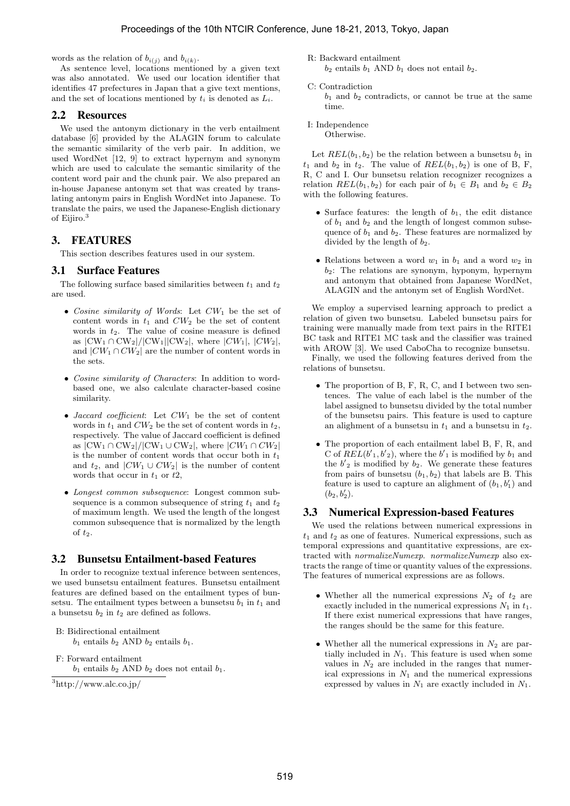words as the relation of  $b_{i(i)}$  and  $b_{i(k)}$ .

As sentence level, locations mentioned by a given text was also annotated. We used our location identifier that identifies 47 prefectures in Japan that a give text mentions, and the set of locations mentioned by *t<sup>i</sup>* is denoted as *Li*.

## 2.2 Resources

We used the antonym dictionary in the verb entailment database [6] provided by the ALAGIN forum to calculate the semantic similarity of the verb pair. In addition, we used WordNet [12, 9] to extract hypernym and synonym which are used to calculate the semantic similarity of the content word pair and the chunk pair. We also prepared an in-house Japanese antonym set that was created by translating antonym pairs in English WordNet into Japanese. To translate the pairs, we used the Japanese-English dictionary of Eijiro.<sup>3</sup>

# 3. FEATURES

This section describes features used in our system.

# 3.1 Surface Features

The following surface based similarities between  $t_1$  and  $t_2$ are used.

- *• Cosine similarity of Words*: Let *CW*<sup>1</sup> be the set of content words in  $t_1$  and  $CW_2$  be the set of content words in *t*2. The value of cosine measure is defined as  $|CW_1 \cap CW_2| / |CW_1| |CW_2|$ , where  $|CW_1|, |CW_2|$ , and  $|CW_1 \cap CW_2|$  are the number of content words in the sets.
- *• Cosine similarity of Characters*: In addition to wordbased one, we also calculate character-based cosine similarity.
- *• Jaccard coefficient*: Let *CW*<sup>1</sup> be the set of content words in  $t_1$  and  $CW_2$  be the set of content words in  $t_2$ , respectively. The value of Jaccard coefficient is defined as  $|CW_1 \cap CW_2| / |CW_1 \cup CW_2|$ , where  $|CW_1 \cap CW_2|$ is the number of content words that occur both in *t*<sup>1</sup> and  $t_2$ , and  $|CW_1 \cup CW_2|$  is the number of content words that occur in *t*<sup>1</sup> or *t*2,
- *• Longest common subsequence*: Longest common subsequence is a common subsequence of string  $t_1$  and  $t_2$ of maximum length. We used the length of the longest common subsequence that is normalized by the length of *t*2.

# 3.2 Bunsetsu Entailment-based Features

In order to recognize textual inference between sentences, we used bunsetsu entailment features. Bunsetsu entailment features are defined based on the entailment types of bunsetsu. The entailment types between a bunsetsu  $b_1$  in  $t_1$  and a bunsetsu  $b_2$  in  $t_2$  are defined as follows.

B: Bidirectional entailment

 $b_1$  entails  $b_2$  AND  $b_2$  entails  $b_1$ .

F: Forward entailment

 $b_1$  entails  $b_2$  AND  $b_2$  does not entail  $b_1$ .

<sup>3</sup>http:*//*www.alc.co.jp*/*

R: Backward entailment

 $b_2$  entails  $b_1$  AND  $b_1$  does not entail  $b_2$ .

C: Contradiction

 $b_1$  and  $b_2$  contradicts, or cannot be true at the same time.

I: Independence

Otherwise.

Let  $REL(b_1, b_2)$  be the relation between a bunsetsu  $b_1$  in  $t_1$  and  $b_2$  in  $t_2$ . The value of  $REL(b_1, b_2)$  is one of B, F, R, C and I. Our bunsetsu relation recognizer recognizes a relation  $REL(b_1, b_2)$  for each pair of  $b_1 \in B_1$  and  $b_2 \in B_2$ with the following features.

- Surface features: the length of  $b_1$ , the edit distance of  $b_1$  and  $b_2$  and the length of longest common subsequence of  $b_1$  and  $b_2$ . These features are normalized by divided by the length of  $b_2$ .
- Relations between a word  $w_1$  in  $b_1$  and a word  $w_2$  in *b*2: The relations are synonym, hyponym, hypernym and antonym that obtained from Japanese WordNet, ALAGIN and the antonym set of English WordNet.

We employ a supervised learning approach to predict a relation of given two bunsetsu. Labeled bunsetsu pairs for training were manually made from text pairs in the RITE1 BC task and RITE1 MC task and the classifier was trained with AROW [3]. We used CaboCha to recognize bunsetsu.

Finally, we used the following features derived from the relations of bunsetsu.

- *•* The proportion of B, F, R, C, and I between two sentences. The value of each label is the number of the label assigned to bunsetsu divided by the total number of the bunsetsu pairs. This feature is used to capture an alighment of a bunsetsu in  $t_1$  and a bunsetsu in  $t_2$ .
- *•* The proportion of each entailment label B, F, R, and C of  $REL(b'_1, b'_2)$ , where the  $b'_1$  is modified by  $b_1$  and the  $b'$ <sub>2</sub> is modified by  $b_2$ . We generate these features from pairs of bunsetsu  $(b_1, b_2)$  that labels are B. This feature is used to capture an alighment of  $(b_1, b'_1)$  and  $(b_2, b'_2).$

# 3.3 Numerical Expression-based Features

We used the relations between numerical expressions in *t*<sup>1</sup> and *t*<sup>2</sup> as one of features. Numerical expressions, such as temporal expressions and quantitative expressions, are extracted with *normalizeNumexp*. *normalizeNumexp* also extracts the range of time or quantity values of the expressions. The features of numerical expressions are as follows.

- Whether all the numerical expressions  $N_2$  of  $t_2$  are exactly included in the numerical expressions  $N_1$  in  $t_1$ . If there exist numerical expressions that have ranges, the ranges should be the same for this feature.
- *•* Whether all the numerical expressions in *N*<sup>2</sup> are partially included in  $N_1$ . This feature is used when some values in  $N_2$  are included in the ranges that numerical expressions in  $N_1$  and the numerical expressions expressed by values in *N*<sup>1</sup> are exactly included in *N*1.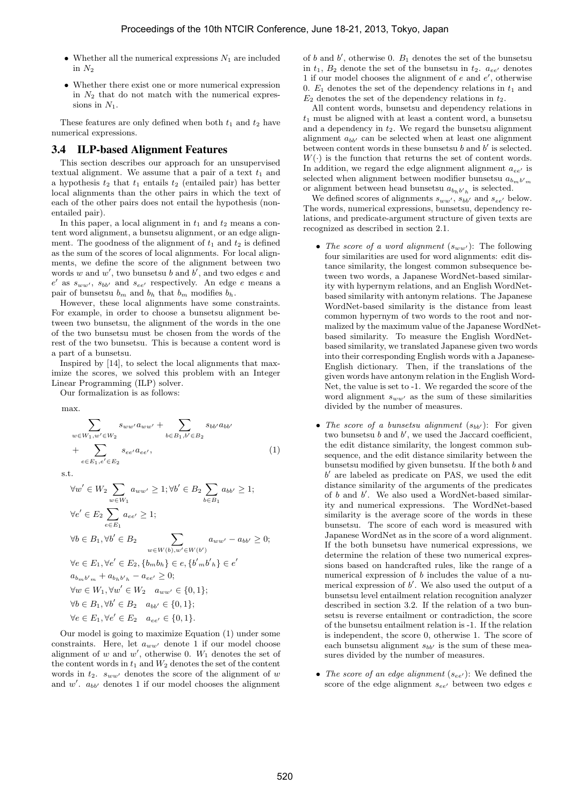- *•* Whether all the numerical expressions *N*<sup>1</sup> are included in  $N_2$
- *•* Whether there exist one or more numerical expression in  $N_2$  that do not match with the numerical expressions in  $N_1$ .

These features are only defined when both  $t_1$  and  $t_2$  have numerical expressions.

#### 3.4 ILP-based Alignment Features

This section describes our approach for an unsupervised textual alignment. We assume that a pair of a text  $t_1$  and a hypothesis  $t_2$  that  $t_1$  entails  $t_2$  (entailed pair) has better local alignments than the other pairs in which the text of each of the other pairs does not entail the hypothesis (nonentailed pair).

In this paper, a local alignment in  $t_1$  and  $t_2$  means a content word alignment, a bunsetsu alignment, or an edge alignment. The goodness of the alignment of  $t_1$  and  $t_2$  is defined as the sum of the scores of local alignments. For local alignments, we define the score of the alignment between two words  $w$  and  $w'$ , two bunsetsu  $b$  and  $b'$ , and two edges  $e$  and  $e'$  as  $s_{ww'}$ ,  $s_{bb'}$  and  $s_{ee'}$  respectively. An edge *e* means a pair of bunsetsu  $b_m$  and  $b_h$  that  $b_m$  modifies  $b_h$ .

However, these local alignments have some constraints. For example, in order to choose a bunsetsu alignment between two bunsetsu, the alignment of the words in the one of the two bunsetsu must be chosen from the words of the rest of the two bunsetsu. This is because a content word is a part of a bunsetsu.

Inspired by [14], to select the local alignments that maximize the scores, we solved this problem with an Integer Linear Programming (ILP) solver.

Our formalization is as follows:

max*.*

$$
\sum_{w \in W_1, w' \in W_2} s_{ww'} a_{ww'} + \sum_{b \in B_1, b' \in B_2} s_{bb'} a_{bb'} + \sum_{e \in E_1, e' \in E_2} s_{ee'} a_{ee'},
$$
\n(1)

s*.*t*.*

$$
\forall w' \in W_2 \sum_{w \in W_1} a_{ww'} \ge 1; \forall b' \in B_2 \sum_{b \in B_1} a_{bb'} \ge 1; \n\forall e' \in E_2 \sum_{e \in E_1} a_{ee'} \ge 1; \n\forall b \in B_1, \forall b' \in B_2 \sum_{w \in W(b), w' \in W(b')} a_{ww'} - a_{bb'} \ge 0; \n\forall e \in E_1, \forall e' \in E_2, \{b_m b_h\} \in e, \{b'_m b'_h\} \in e' \na_{b_m b'_m} + a_{b_h b'_h} - a_{ee'} \ge 0; \n\forall w \in W_1, \forall w' \in W_2 \quad a_{ww'} \in \{0, 1\}; \n\forall b \in B_1, \forall b' \in B_2 \quad a_{bb'} \in \{0, 1\}; \n\forall e \in E_1, \forall e' \in E_2 \quad a_{ee'} \in \{0, 1\}.
$$

Our model is going to maximize Equation (1) under some constraints. Here, let  $a_{ww'}$  denote 1 if our model choose alignment of  $w$  and  $w'$ , otherwise 0.  $W_1$  denotes the set of the content words in  $t_1$  and  $W_2$  denotes the set of the content words in  $t_2$ .  $s_{ww'}$  denotes the score of the alignment of *w* and  $w'$ .  $a_{bb'}$  denotes 1 if our model chooses the alignment

of *b* and *b*<sup> $\prime$ </sup>, otherwise 0.  $B_1$  denotes the set of the bunsetsu in  $t_1$ ,  $B_2$  denote the set of the bunsetsu in  $t_2$ .  $a_{ee'}$  denotes 1 if our model chooses the alignment of *e* and *e'*, otherwise 0.  $E_1$  denotes the set of the dependency relations in  $t_1$  and *E*<sup>2</sup> denotes the set of the dependency relations in *t*2.

All content words, bunsetsu and dependency relations in *t*<sup>1</sup> must be aligned with at least a content word, a bunsetsu and a dependency in *t*2. We regard the bunsetsu alignment alignment  $a_{bb}$  can be selected when at least one alignment between content words in these bunsetsu  $b$  and  $b'$  is selected.  $W(\cdot)$  is the function that returns the set of content words. In addition, we regard the edge alignment alignment  $a_{ee}$  is selected when alignment between modifier bunsetsu $a_{b_{m}b^{\prime}{}_{m}}$ or alignment between head bunsetsu  $a_{b_h b' h}$  is selected.

We defined scores of alignments  $s_{ww'}$ ,  $s_{bb'}$  and  $s_{ee'}$  below. The words, numerical expressions, bunsetsu, dependency relations, and predicate-argument structure of given texts are recognized as described in section 2.1.

- *The score of a word alignment*  $(s_{ww'})$ : The following four similarities are used for word alignments: edit distance similarity, the longest common subsequence between two words, a Japanese WordNet-based similarity with hypernym relations, and an English WordNetbased similarity with antonym relations. The Japanese WordNet-based similarity is the distance from least common hypernym of two words to the root and normalized by the maximum value of the Japanese WordNetbased similarity. To measure the English WordNetbased similarity, we translated Japanese given two words into their corresponding English words with a Japanese-English dictionary. Then, if the translations of the given words have antonym relation in the English Word-Net, the value is set to -1. We regarded the score of the word alignment  $s_{ww'}$  as the sum of these similarities divided by the number of measures.
- *The score of a bunsetsu alignment*  $(s_{bb'})$ : For given two bunsetsu  $b$  and  $b'$ , we used the Jaccard coefficient, the edit distance similarity, the longest common subsequence, and the edit distance similarity between the bunsetsu modified by given bunsetsu. If the both *b* and *b 0* are labeled as predicate on PAS, we used the edit distance similarity of the arguments of the predicates of *b* and *b*<sup>'</sup>. We also used a WordNet-based similarity and numerical expressions. The WordNet-based similarity is the average score of the words in these bunsetsu. The score of each word is measured with Japanese WordNet as in the score of a word alignment. If the both bunsetsu have numerical expressions, we determine the relation of these two numerical expressions based on handcrafted rules, like the range of a numerical expression of *b* includes the value of a numerical expression of  $b'$ . We also used the output of a bunsetsu level entailment relation recognition analyzer described in section 3.2. If the relation of a two bunsetsu is reverse entailment or contradiction, the score of the bunsetsu entailment relation is -1. If the relation is independent, the score 0, otherwise 1. The score of each bunsetsu alignment  $s_{bb'}$  is the sum of these measures divided by the number of measures.
- *• The score of an edge alignment* (*see<sup>0</sup>* ): We defined the score of the edge alignment *see<sup>0</sup>* between two edges *e*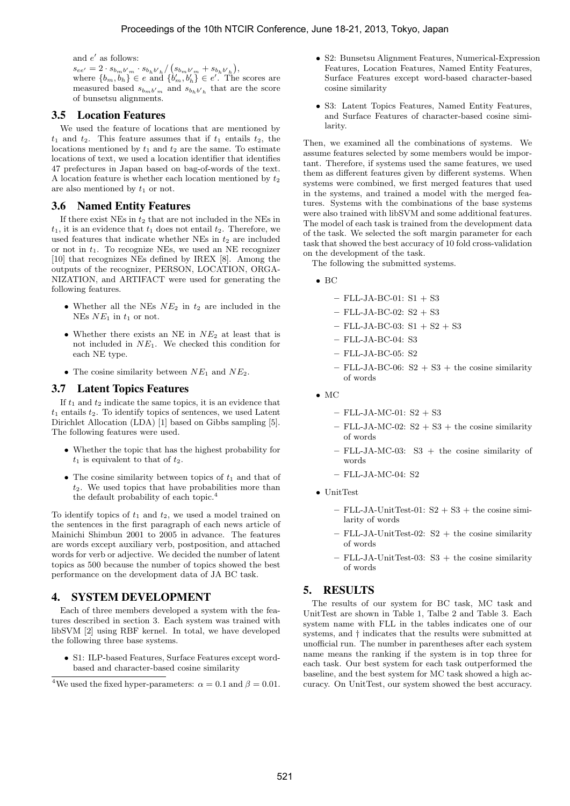and  $e'$  as follows:

 $s_{ee'} = 2 \cdot s_{b_m b' m} \cdot s_{b_h b' h} / (s_{b_m b' m} + s_{b_h b' h}),$ where  $\{b_m, b_h\} \in e$  and  $\{b'_m, b'_h\} \in e'$ . The scores are measured based  $s_{b_m b'_m}$  and  $s_{b_h b'_h}$  that are the score of bunsetsu alignments.

# 3.5 Location Features

We used the feature of locations that are mentioned by  $t_1$  and  $t_2$ . This feature assumes that if  $t_1$  entails  $t_2$ , the locations mentioned by  $t_1$  and  $t_2$  are the same. To estimate locations of text, we used a location identifier that identifies 47 prefectures in Japan based on bag-of-words of the text. A location feature is whether each location mentioned by  $t_2$ are also mentioned by  $t_1$  or not.

# 3.6 Named Entity Features

If there exist NEs in *t*<sup>2</sup> that are not included in the NEs in  $t_1$ , it is an evidence that  $t_1$  does not entail  $t_2$ . Therefore, we used features that indicate whether NEs in  $t_2$  are included or not in *t*1. To recognize NEs, we used an NE recognizer [10] that recognizes NEs defined by IREX [8]. Among the outputs of the recognizer, PERSON, LOCATION, ORGA-NIZATION, and ARTIFACT were used for generating the following features.

- *•* Whether all the NEs *NE*<sup>2</sup> in *t*<sup>2</sup> are included in the NEs *NE*<sup>1</sup> in *t*<sup>1</sup> or not.
- *•* Whether there exists an NE in *NE*<sup>2</sup> at least that is not included in *NE*1. We checked this condition for each NE type.
- *•* The cosine similarity between *NE*<sup>1</sup> and *NE*2.

# 3.7 Latent Topics Features

If  $t_1$  and  $t_2$  indicate the same topics, it is an evidence that  $t_1$  entails  $t_2$ . To identify topics of sentences, we used Latent Dirichlet Allocation (LDA) [1] based on Gibbs sampling [5]. The following features were used.

- *•* Whether the topic that has the highest probability for  $t_1$  is equivalent to that of  $t_2$ .
- The cosine similarity between topics of  $t_1$  and that of *t*2. We used topics that have probabilities more than the default probability of each topic.<sup>4</sup>

To identify topics of *t*<sup>1</sup> and *t*2, we used a model trained on the sentences in the first paragraph of each news article of Mainichi Shimbun 2001 to 2005 in advance. The features are words except auxiliary verb, postposition, and attached words for verb or adjective. We decided the number of latent topics as 500 because the number of topics showed the best performance on the development data of JA BC task.

# 4. SYSTEM DEVELOPMENT

Each of three members developed a system with the features described in section 3. Each system was trained with libSVM [2] using RBF kernel. In total, we have developed the following three base systems.

*•* S1: ILP-based Features, Surface Features except wordbased and character-based cosine similarity

- *•* S2: Bunsetsu Alignment Features, Numerical-Expression Features, Location Features, Named Entity Features, Surface Features except word-based character-based cosine similarity
- *•* S3: Latent Topics Features, Named Entity Features, and Surface Features of character-based cosine similarity.

Then, we examined all the combinations of systems. We assume features selected by some members would be important. Therefore, if systems used the same features, we used them as different features given by different systems. When systems were combined, we first merged features that used in the systems, and trained a model with the merged features. Systems with the combinations of the base systems were also trained with libSVM and some additional features. The model of each task is trained from the development data of the task. We selected the soft margin parameter for each task that showed the best accuracy of 10 fold cross-validation on the development of the task.

The following the submitted systems.

- *•* BC
	- **–** FLL-JA-BC-01: S1 + S3
	- **–** FLL-JA-BC-02: S2 + S3
	- **–** FLL-JA-BC-03: S1 + S2 + S3
	- **–** FLL-JA-BC-04: S3
	- **–** FLL-JA-BC-05: S2
	- **–** FLL-JA-BC-06: S2 + S3 + the cosine similarity of words
- *•* MC
	- **–** FLL-JA-MC-01: S2 + S3
	- $-$  FLL-JA-MC-02:  $S2 + S3 +$  the cosine similarity of words
	- **–** FLL-JA-MC-03: S3 + the cosine similarity of words
	- **–** FLL-JA-MC-04: S2
- *•* UnitTest
	- $-$  FLL-JA-UnitTest-01:  $S2 + S3 +$  the cosine similarity of words
	- **–** FLL-JA-UnitTest-02: S2 + the cosine similarity of words
	- **–** FLL-JA-UnitTest-03: S3 + the cosine similarity of words

# 5. RESULTS

The results of our system for BC task, MC task and UnitTest are shown in Table 1, Talbe 2 and Table 3. Each system name with FLL in the tables indicates one of our systems, and *†* indicates that the results were submitted at unofficial run. The number in parentheses after each system name means the ranking if the system is in top three for each task. Our best system for each task outperformed the baseline, and the best system for MC task showed a high accuracy. On UnitTest, our system showed the best accuracy.

<sup>&</sup>lt;sup>4</sup>We used the fixed hyper-parameters:  $\alpha = 0.1$  and  $\beta = 0.01$ .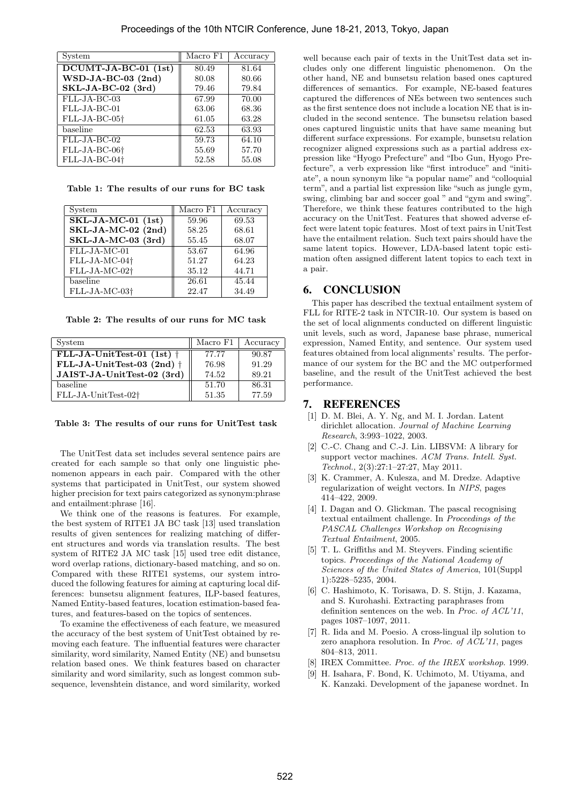| System                    | Macro F1 | Accuracy |
|---------------------------|----------|----------|
| $DCUMT-JA-BC-01$ (1st)    | 80.49    | 81.64    |
| WSD-JA-BC-03 (2nd)        | 80.08    | 80.66    |
| SKL-JA-BC-02 (3rd)        | 79.46    | 79.84    |
| FLL-JA-BC-03              | 67.99    | 70.00    |
| $FLL-JA-BC-01$            | 63.06    | 68.36    |
| FLL-JA-BC-05 <sup>+</sup> | 61.05    | 63.28    |
| baseline                  | 62.53    | 63.93    |
| FLL-JA-BC-02              | 59.73    | 64.10    |
| FLL-JA-BC-06†             | 55.69    | 57.70    |
| FLL-JA-BC-04 <sup>+</sup> | 52.58    | 55.08    |

**Table 1: The results of our runs for BC task**

| System                    | Macro F1 | Accuracy |
|---------------------------|----------|----------|
| $SKL-JA-MC-01$ $(1st)$    | 59.96    | 69.53    |
| SKL-JA-MC-02 (2nd)        | 58.25    | 68.61    |
| SKL-JA-MC-03 (3rd)        | 55.45    | 68.07    |
| FLL-JA-MC-01              | 53.67    | 64.96    |
| FLL-JA-MC-04†             | 51.27    | 64.23    |
| FLL-JA-MC-02 <sup>+</sup> | 35.12    | 44.71    |
| baseline                  | 26.61    | 45.44    |
| FLL-JA-MC-03 <sup>+</sup> | 22.47    | 34.49    |

**Table 2: The results of our runs for MC task**

| System                             | Macro F1 | Accuracy |
|------------------------------------|----------|----------|
| FLL-JA-UnitTest-01 (1st) $\dagger$ | 77.77    | 90.87    |
| FLL-JA-UnitTest-03 (2nd) $\dagger$ | 76.98    | 91.29    |
| JAIST-JA-UnitTest-02 (3rd)         | 74.52    | 89.21    |
| baseline                           | 51.70    | 86.31    |
| FLL-JA-UnitTest-02†                | 51.35    | 77.59    |

#### **Table 3: The results of our runs for UnitTest task**

The UnitTest data set includes several sentence pairs are created for each sample so that only one linguistic phenomenon appears in each pair. Compared with the other systems that participated in UnitTest, our system showed higher precision for text pairs categorized as synonym:phrase and entailment:phrase [16].

We think one of the reasons is features. For example, the best system of RITE1 JA BC task [13] used translation results of given sentences for realizing matching of different structures and words via translation results. The best system of RITE2 JA MC task [15] used tree edit distance, word overlap rations, dictionary-based matching, and so on. Compared with these RITE1 systems, our system introduced the following features for aiming at capturing local differences: bunsetsu alignment features, ILP-based features, Named Entity-based features, location estimation-based features, and features-based on the topics of sentences.

To examine the effectiveness of each feature, we measured the accuracy of the best system of UnitTest obtained by removing each feature. The influential features were character similarity, word similarity, Named Entity (NE) and bunsetsu relation based ones. We think features based on character similarity and word similarity, such as longest common subsequence, levenshtein distance, and word similarity, worked

well because each pair of texts in the UnitTest data set includes only one different linguistic phenomenon. On the other hand, NE and bunsetsu relation based ones captured differences of semantics. For example, NE-based features captured the differences of NEs between two sentences such as the first sentence does not include a location NE that is included in the second sentence. The bunsetsu relation based ones captured linguistic units that have same meaning but different surface expressions. For example, bunsetsu relation recognizer aligned expressions such as a partial address expression like "Hyogo Prefecture" and "Ibo Gun, Hyogo Prefecture", a verb expression like "first introduce" and "initiate", a noun synonym like "a popular name" and "colloquial term", and a partial list expression like "such as jungle gym, swing, climbing bar and soccer goal " and "gym and swing". Therefore, we think these features contributed to the high accuracy on the UnitTest. Features that showed adverse effect were latent topic features. Most of text pairs in UnitTest have the entailment relation. Such text pairs should have the same latent topics. However, LDA-based latent topic estimation often assigned different latent topics to each text in a pair.

### 6. CONCLUSION

This paper has described the textual entailment system of FLL for RITE-2 task in NTCIR-10. Our system is based on the set of local alignments conducted on different linguistic unit levels, such as word, Japanese base phrase, numerical expression, Named Entity, and sentence. Our system used features obtained from local alignments' results. The performance of our system for the BC and the MC outperformed baseline, and the result of the UnitTest achieved the best performance.

### 7. REFERENCES

- [1] D. M. Blei, A. Y. Ng, and M. I. Jordan. Latent dirichlet allocation. *Journal of Machine Learning Research*, 3:993–1022, 2003.
- [2] C.-C. Chang and C.-J. Lin. LIBSVM: A library for support vector machines. *ACM Trans. Intell. Syst. Technol.*, 2(3):27:1–27:27, May 2011.
- [3] K. Crammer, A. Kulesza, and M. Dredze. Adaptive regularization of weight vectors. In *NIPS*, pages 414–422, 2009.
- [4] I. Dagan and O. Glickman. The pascal recognising textual entailment challenge. In *Proceedings of the PASCAL Challenges Workshop on Recognising Textual Entailment*, 2005.
- [5] T. L. Griffiths and M. Steyvers. Finding scientific topics. *Proceedings of the National Academy of Sciences of the United States of America*, 101(Suppl 1):5228–5235, 2004.
- [6] C. Hashimoto, K. Torisawa, D. S. Stijn, J. Kazama, and S. Kurohashi. Extracting paraphrases from definition sentences on the web. In *Proc. of ACL'11*, pages 1087–1097, 2011.
- [7] R. Iida and M. Poesio. A cross-lingual ilp solution to zero anaphora resolution. In *Proc. of ACL'11*, pages 804–813, 2011.
- [8] IREX Committee. *Proc. of the IREX workshop*. 1999.
- [9] H. Isahara, F. Bond, K. Uchimoto, M. Utiyama, and K. Kanzaki. Development of the japanese wordnet. In